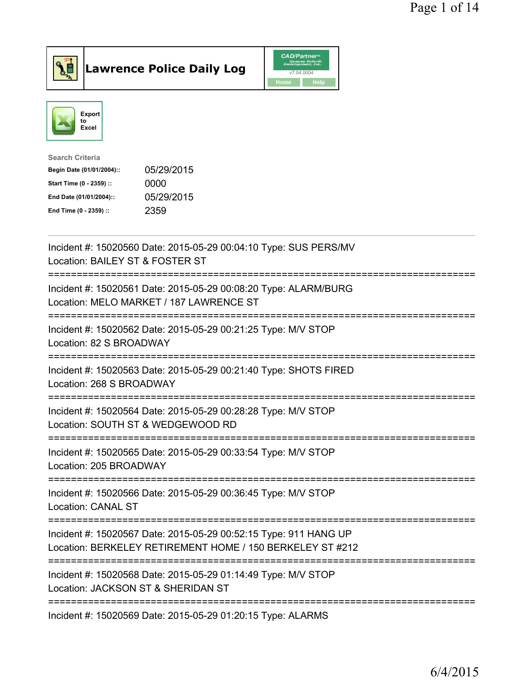

Lawrence Police Daily Log CAD/Partners



| <b>Search Criteria</b>    |            |
|---------------------------|------------|
| Begin Date (01/01/2004):: | 05/29/2015 |
| Start Time (0 - 2359) ::  | 0000       |
| End Date (01/01/2004)::   | 05/29/2015 |
| End Time (0 - 2359) ::    | 2359       |

| Incident #: 15020560 Date: 2015-05-29 00:04:10 Type: SUS PERS/MV<br>Location: BAILEY ST & FOSTER ST                              |
|----------------------------------------------------------------------------------------------------------------------------------|
| Incident #: 15020561 Date: 2015-05-29 00:08:20 Type: ALARM/BURG<br>Location: MELO MARKET / 187 LAWRENCE ST                       |
| Incident #: 15020562 Date: 2015-05-29 00:21:25 Type: M/V STOP<br>Location: 82 S BROADWAY                                         |
| Incident #: 15020563 Date: 2015-05-29 00:21:40 Type: SHOTS FIRED<br>Location: 268 S BROADWAY                                     |
| Incident #: 15020564 Date: 2015-05-29 00:28:28 Type: M/V STOP<br>Location: SOUTH ST & WEDGEWOOD RD                               |
| Incident #: 15020565 Date: 2015-05-29 00:33:54 Type: M/V STOP<br>Location: 205 BROADWAY                                          |
| Incident #: 15020566 Date: 2015-05-29 00:36:45 Type: M/V STOP<br><b>Location: CANAL ST</b><br>---------------------------------- |
| Incident #: 15020567 Date: 2015-05-29 00:52:15 Type: 911 HANG UP<br>Location: BERKELEY RETIREMENT HOME / 150 BERKELEY ST #212    |
| Incident #: 15020568 Date: 2015-05-29 01:14:49 Type: M/V STOP<br>Location: JACKSON ST & SHERIDAN ST                              |
| Incident #: 15020569 Date: 2015-05-29 01:20:15 Type: ALARMS                                                                      |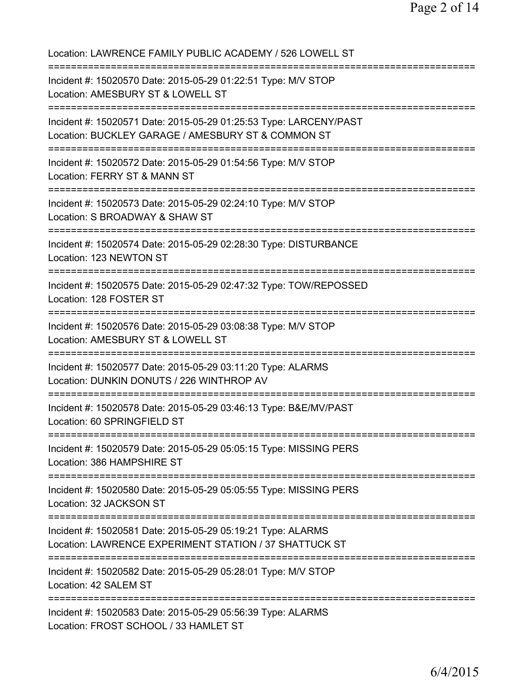Location: LAWRENCE FAMILY PUBLIC ACADEMY / 526 LOWELL ST =========================================================================== Incident #: 15020570 Date: 2015-05-29 01:22:51 Type: M/V STOP Location: AMESBURY ST & LOWELL ST =========================================================================== Incident #: 15020571 Date: 2015-05-29 01:25:53 Type: LARCENY/PAST Location: BUCKLEY GARAGE / AMESBURY ST & COMMON ST =========================================================================== Incident #: 15020572 Date: 2015-05-29 01:54:56 Type: M/V STOP Location: FERRY ST & MANN ST =========================================================================== Incident #: 15020573 Date: 2015-05-29 02:24:10 Type: M/V STOP Location: S BROADWAY & SHAW ST =========================================================================== Incident #: 15020574 Date: 2015-05-29 02:28:30 Type: DISTURBANCE Location: 123 NEWTON ST =========================================================================== Incident #: 15020575 Date: 2015-05-29 02:47:32 Type: TOW/REPOSSED Location: 128 FOSTER ST =========================================================================== Incident #: 15020576 Date: 2015-05-29 03:08:38 Type: M/V STOP Location: AMESBURY ST & LOWELL ST =========================================================================== Incident #: 15020577 Date: 2015-05-29 03:11:20 Type: ALARMS Location: DUNKIN DONUTS / 226 WINTHROP AV =========================================================================== Incident #: 15020578 Date: 2015-05-29 03:46:13 Type: B&E/MV/PAST Location: 60 SPRINGFIELD ST =========================================================================== Incident #: 15020579 Date: 2015-05-29 05:05:15 Type: MISSING PERS Location: 386 HAMPSHIRE ST =========================================================================== Incident #: 15020580 Date: 2015-05-29 05:05:55 Type: MISSING PERS Location: 32 JACKSON ST =========================================================================== Incident #: 15020581 Date: 2015-05-29 05:19:21 Type: ALARMS Location: LAWRENCE EXPERIMENT STATION / 37 SHATTUCK ST =========================================================================== Incident #: 15020582 Date: 2015-05-29 05:28:01 Type: M/V STOP Location: 42 SALEM ST =========================================================================== Incident #: 15020583 Date: 2015-05-29 05:56:39 Type: ALARMS Location: FROST SCHOOL / 33 HAMLET ST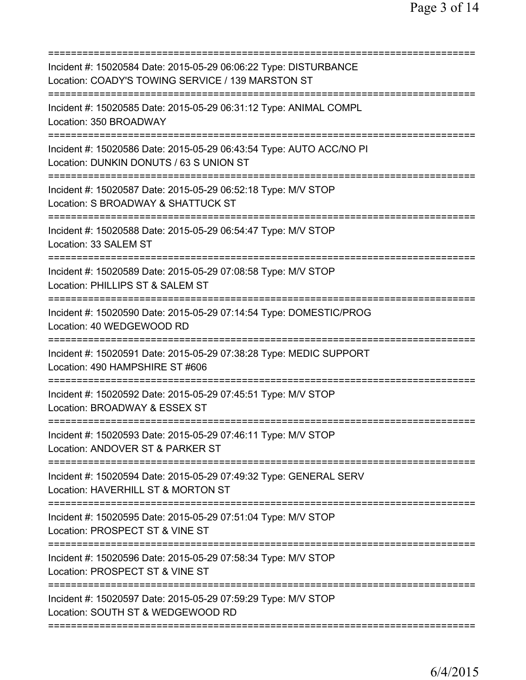| Incident #: 15020584 Date: 2015-05-29 06:06:22 Type: DISTURBANCE<br>Location: COADY'S TOWING SERVICE / 139 MARSTON ST |
|-----------------------------------------------------------------------------------------------------------------------|
| Incident #: 15020585 Date: 2015-05-29 06:31:12 Type: ANIMAL COMPL<br>Location: 350 BROADWAY                           |
| Incident #: 15020586 Date: 2015-05-29 06:43:54 Type: AUTO ACC/NO PI<br>Location: DUNKIN DONUTS / 63 S UNION ST        |
| Incident #: 15020587 Date: 2015-05-29 06:52:18 Type: M/V STOP<br>Location: S BROADWAY & SHATTUCK ST                   |
| Incident #: 15020588 Date: 2015-05-29 06:54:47 Type: M/V STOP<br>Location: 33 SALEM ST                                |
| Incident #: 15020589 Date: 2015-05-29 07:08:58 Type: M/V STOP<br>Location: PHILLIPS ST & SALEM ST<br>========         |
| Incident #: 15020590 Date: 2015-05-29 07:14:54 Type: DOMESTIC/PROG<br>Location: 40 WEDGEWOOD RD                       |
| Incident #: 15020591 Date: 2015-05-29 07:38:28 Type: MEDIC SUPPORT<br>Location: 490 HAMPSHIRE ST #606                 |
| Incident #: 15020592 Date: 2015-05-29 07:45:51 Type: M/V STOP<br>Location: BROADWAY & ESSEX ST                        |
| Incident #: 15020593 Date: 2015-05-29 07:46:11 Type: M/V STOP<br>Location: ANDOVER ST & PARKER ST                     |
| Incident #: 15020594 Date: 2015-05-29 07:49:32 Type: GENERAL SERV<br>Location: HAVERHILL ST & MORTON ST               |
| Incident #: 15020595 Date: 2015-05-29 07:51:04 Type: M/V STOP<br>Location: PROSPECT ST & VINE ST                      |
| Incident #: 15020596 Date: 2015-05-29 07:58:34 Type: M/V STOP<br>Location: PROSPECT ST & VINE ST                      |
| Incident #: 15020597 Date: 2015-05-29 07:59:29 Type: M/V STOP<br>Location: SOUTH ST & WEDGEWOOD RD                    |
|                                                                                                                       |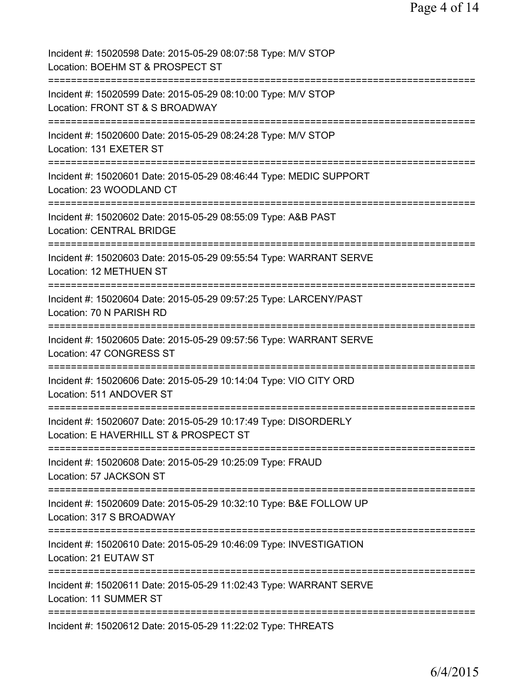| Incident #: 15020598 Date: 2015-05-29 08:07:58 Type: M/V STOP<br>Location: BOEHM ST & PROSPECT ST         |
|-----------------------------------------------------------------------------------------------------------|
| Incident #: 15020599 Date: 2015-05-29 08:10:00 Type: M/V STOP<br>Location: FRONT ST & S BROADWAY          |
| Incident #: 15020600 Date: 2015-05-29 08:24:28 Type: M/V STOP<br>Location: 131 EXETER ST                  |
| Incident #: 15020601 Date: 2015-05-29 08:46:44 Type: MEDIC SUPPORT<br>Location: 23 WOODLAND CT            |
| Incident #: 15020602 Date: 2015-05-29 08:55:09 Type: A&B PAST<br><b>Location: CENTRAL BRIDGE</b>          |
| Incident #: 15020603 Date: 2015-05-29 09:55:54 Type: WARRANT SERVE<br>Location: 12 METHUEN ST             |
| Incident #: 15020604 Date: 2015-05-29 09:57:25 Type: LARCENY/PAST<br>Location: 70 N PARISH RD             |
| Incident #: 15020605 Date: 2015-05-29 09:57:56 Type: WARRANT SERVE<br>Location: 47 CONGRESS ST            |
| Incident #: 15020606 Date: 2015-05-29 10:14:04 Type: VIO CITY ORD<br>Location: 511 ANDOVER ST             |
| Incident #: 15020607 Date: 2015-05-29 10:17:49 Type: DISORDERLY<br>Location: E HAVERHILL ST & PROSPECT ST |
| Incident #: 15020608 Date: 2015-05-29 10:25:09 Type: FRAUD<br>Location: 57 JACKSON ST                     |
| Incident #: 15020609 Date: 2015-05-29 10:32:10 Type: B&E FOLLOW UP<br>Location: 317 S BROADWAY            |
| Incident #: 15020610 Date: 2015-05-29 10:46:09 Type: INVESTIGATION<br>Location: 21 EUTAW ST               |
| Incident #: 15020611 Date: 2015-05-29 11:02:43 Type: WARRANT SERVE<br>Location: 11 SUMMER ST              |
| Incident #: 15020612 Date: 2015-05-29 11:22:02 Type: THREATS                                              |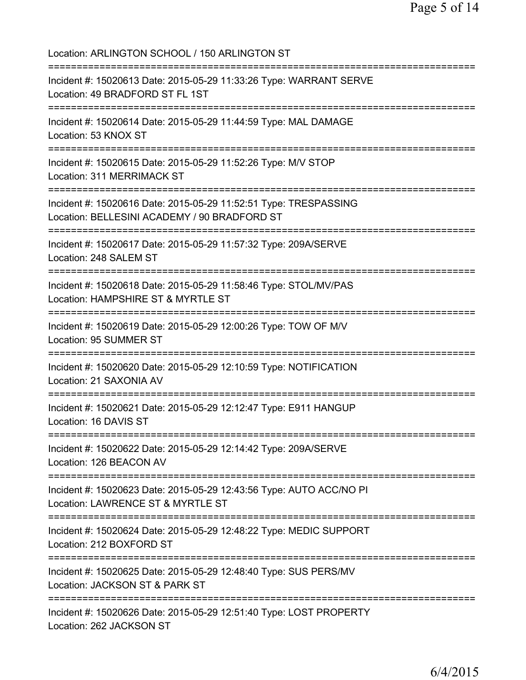Location: ARLINGTON SCHOOL / 150 ARLINGTON ST =========================================================================== Incident #: 15020613 Date: 2015-05-29 11:33:26 Type: WARRANT SERVE Location: 49 BRADFORD ST FL 1ST =========================================================================== Incident #: 15020614 Date: 2015-05-29 11:44:59 Type: MAL DAMAGE Location: 53 KNOX ST =========================================================================== Incident #: 15020615 Date: 2015-05-29 11:52:26 Type: M/V STOP Location: 311 MERRIMACK ST =========================================================================== Incident #: 15020616 Date: 2015-05-29 11:52:51 Type: TRESPASSING Location: BELLESINI ACADEMY / 90 BRADFORD ST =========================================================================== Incident #: 15020617 Date: 2015-05-29 11:57:32 Type: 209A/SERVE Location: 248 SALEM ST =========================================================================== Incident #: 15020618 Date: 2015-05-29 11:58:46 Type: STOL/MV/PAS Location: HAMPSHIRE ST & MYRTLE ST =========================================================================== Incident #: 15020619 Date: 2015-05-29 12:00:26 Type: TOW OF M/V Location: 95 SUMMER ST =========================================================================== Incident #: 15020620 Date: 2015-05-29 12:10:59 Type: NOTIFICATION Location: 21 SAXONIA AV =========================================================================== Incident #: 15020621 Date: 2015-05-29 12:12:47 Type: E911 HANGUP Location: 16 DAVIS ST =========================================================================== Incident #: 15020622 Date: 2015-05-29 12:14:42 Type: 209A/SERVE Location: 126 BEACON AV =========================================================================== Incident #: 15020623 Date: 2015-05-29 12:43:56 Type: AUTO ACC/NO PI Location: LAWRENCE ST & MYRTLE ST =========================================================================== Incident #: 15020624 Date: 2015-05-29 12:48:22 Type: MEDIC SUPPORT Location: 212 BOXFORD ST =========================================================================== Incident #: 15020625 Date: 2015-05-29 12:48:40 Type: SUS PERS/MV Location: JACKSON ST & PARK ST =========================================================================== Incident #: 15020626 Date: 2015-05-29 12:51:40 Type: LOST PROPERTY Location: 262 JACKSON ST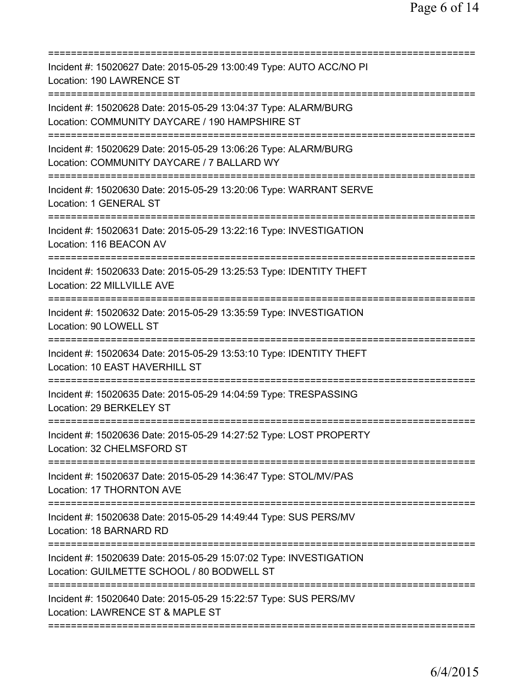| Incident #: 15020627 Date: 2015-05-29 13:00:49 Type: AUTO ACC/NO PI<br>Location: 190 LAWRENCE ST                                               |
|------------------------------------------------------------------------------------------------------------------------------------------------|
| Incident #: 15020628 Date: 2015-05-29 13:04:37 Type: ALARM/BURG<br>Location: COMMUNITY DAYCARE / 190 HAMPSHIRE ST<br>========================= |
| Incident #: 15020629 Date: 2015-05-29 13:06:26 Type: ALARM/BURG<br>Location: COMMUNITY DAYCARE / 7 BALLARD WY                                  |
| Incident #: 15020630 Date: 2015-05-29 13:20:06 Type: WARRANT SERVE<br>Location: 1 GENERAL ST                                                   |
| Incident #: 15020631 Date: 2015-05-29 13:22:16 Type: INVESTIGATION<br>Location: 116 BEACON AV                                                  |
| Incident #: 15020633 Date: 2015-05-29 13:25:53 Type: IDENTITY THEFT<br>Location: 22 MILLVILLE AVE                                              |
| Incident #: 15020632 Date: 2015-05-29 13:35:59 Type: INVESTIGATION<br>Location: 90 LOWELL ST                                                   |
| Incident #: 15020634 Date: 2015-05-29 13:53:10 Type: IDENTITY THEFT<br>Location: 10 EAST HAVERHILL ST                                          |
| Incident #: 15020635 Date: 2015-05-29 14:04:59 Type: TRESPASSING<br>Location: 29 BERKELEY ST                                                   |
| Incident #: 15020636 Date: 2015-05-29 14:27:52 Type: LOST PROPERTY<br>Location: 32 CHELMSFORD ST                                               |
| Incident #: 15020637 Date: 2015-05-29 14:36:47 Type: STOL/MV/PAS<br>Location: 17 THORNTON AVE                                                  |
| Incident #: 15020638 Date: 2015-05-29 14:49:44 Type: SUS PERS/MV<br>Location: 18 BARNARD RD                                                    |
| Incident #: 15020639 Date: 2015-05-29 15:07:02 Type: INVESTIGATION<br>Location: GUILMETTE SCHOOL / 80 BODWELL ST                               |
| Incident #: 15020640 Date: 2015-05-29 15:22:57 Type: SUS PERS/MV<br>Location: LAWRENCE ST & MAPLE ST                                           |
|                                                                                                                                                |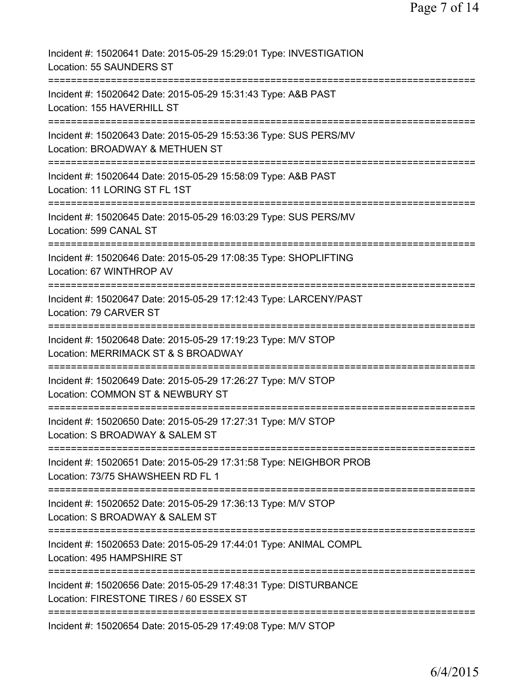| Incident #: 15020641 Date: 2015-05-29 15:29:01 Type: INVESTIGATION<br>Location: 55 SAUNDERS ST                            |
|---------------------------------------------------------------------------------------------------------------------------|
| Incident #: 15020642 Date: 2015-05-29 15:31:43 Type: A&B PAST<br>Location: 155 HAVERHILL ST                               |
| Incident #: 15020643 Date: 2015-05-29 15:53:36 Type: SUS PERS/MV<br>Location: BROADWAY & METHUEN ST                       |
| Incident #: 15020644 Date: 2015-05-29 15:58:09 Type: A&B PAST<br>Location: 11 LORING ST FL 1ST                            |
| Incident #: 15020645 Date: 2015-05-29 16:03:29 Type: SUS PERS/MV<br>Location: 599 CANAL ST                                |
| Incident #: 15020646 Date: 2015-05-29 17:08:35 Type: SHOPLIFTING<br>Location: 67 WINTHROP AV<br>=============             |
| Incident #: 15020647 Date: 2015-05-29 17:12:43 Type: LARCENY/PAST<br>Location: 79 CARVER ST                               |
| Incident #: 15020648 Date: 2015-05-29 17:19:23 Type: M/V STOP<br>Location: MERRIMACK ST & S BROADWAY                      |
| Incident #: 15020649 Date: 2015-05-29 17:26:27 Type: M/V STOP<br>Location: COMMON ST & NEWBURY ST                         |
| Incident #: 15020650 Date: 2015-05-29 17:27:31 Type: M/V STOP<br>Location: S BROADWAY & SALEM ST                          |
| ==============<br>Incident #: 15020651 Date: 2015-05-29 17:31:58 Type: NEIGHBOR PROB<br>Location: 73/75 SHAWSHEEN RD FL 1 |
| Incident #: 15020652 Date: 2015-05-29 17:36:13 Type: M/V STOP<br>Location: S BROADWAY & SALEM ST                          |
| Incident #: 15020653 Date: 2015-05-29 17:44:01 Type: ANIMAL COMPL<br>Location: 495 HAMPSHIRE ST                           |
| Incident #: 15020656 Date: 2015-05-29 17:48:31 Type: DISTURBANCE<br>Location: FIRESTONE TIRES / 60 ESSEX ST               |
| Incident #: 15020654 Date: 2015-05-29 17:49:08 Type: M/V STOP                                                             |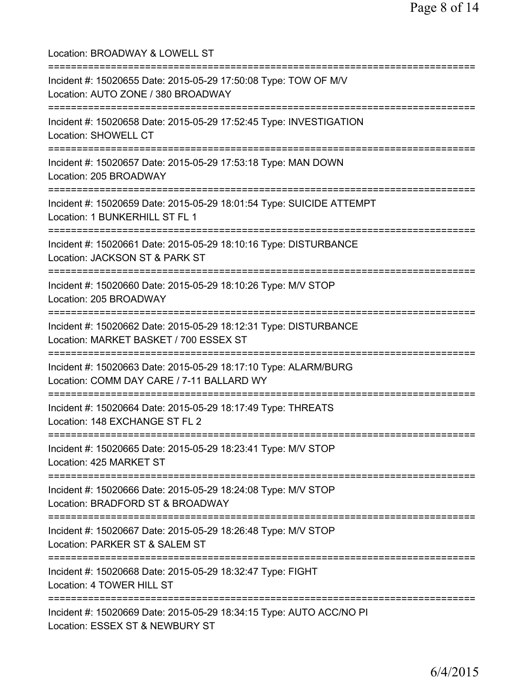Location: BROADWAY & LOWELL ST =========================================================================== Incident #: 15020655 Date: 2015-05-29 17:50:08 Type: TOW OF M/V Location: AUTO ZONE / 380 BROADWAY =========================================================================== Incident #: 15020658 Date: 2015-05-29 17:52:45 Type: INVESTIGATION Location: SHOWELL CT =========================================================================== Incident #: 15020657 Date: 2015-05-29 17:53:18 Type: MAN DOWN Location: 205 BROADWAY =========================================================================== Incident #: 15020659 Date: 2015-05-29 18:01:54 Type: SUICIDE ATTEMPT Location: 1 BUNKERHILL ST FL 1 =========================================================================== Incident #: 15020661 Date: 2015-05-29 18:10:16 Type: DISTURBANCE Location: JACKSON ST & PARK ST =========================================================================== Incident #: 15020660 Date: 2015-05-29 18:10:26 Type: M/V STOP Location: 205 BROADWAY =========================================================================== Incident #: 15020662 Date: 2015-05-29 18:12:31 Type: DISTURBANCE Location: MARKET BASKET / 700 ESSEX ST =========================================================================== Incident #: 15020663 Date: 2015-05-29 18:17:10 Type: ALARM/BURG Location: COMM DAY CARE / 7-11 BALLARD WY =========================================================================== Incident #: 15020664 Date: 2015-05-29 18:17:49 Type: THREATS Location: 148 EXCHANGE ST FL 2 =========================================================================== Incident #: 15020665 Date: 2015-05-29 18:23:41 Type: M/V STOP Location: 425 MARKET ST =========================================================================== Incident #: 15020666 Date: 2015-05-29 18:24:08 Type: M/V STOP Location: BRADFORD ST & BROADWAY =========================================================================== Incident #: 15020667 Date: 2015-05-29 18:26:48 Type: M/V STOP Location: PARKER ST & SALEM ST =========================================================================== Incident #: 15020668 Date: 2015-05-29 18:32:47 Type: FIGHT Location: 4 TOWER HILL ST =========================================================================== Incident #: 15020669 Date: 2015-05-29 18:34:15 Type: AUTO ACC/NO PI Location: ESSEX ST & NEWBURY ST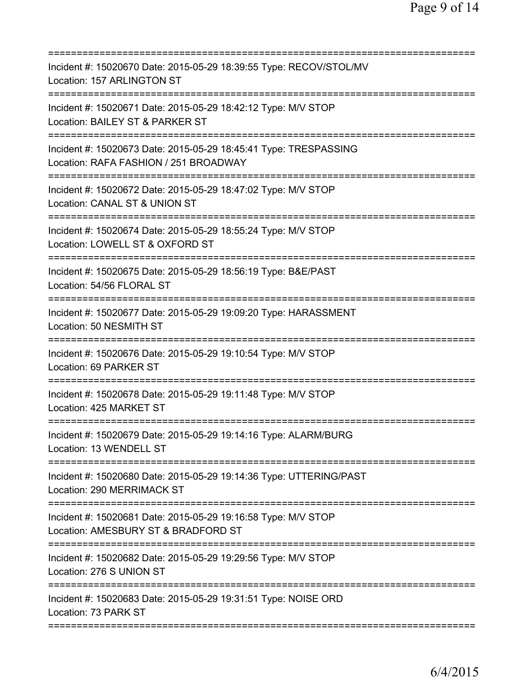| Incident #: 15020670 Date: 2015-05-29 18:39:55 Type: RECOV/STOL/MV<br>Location: 157 ARLINGTON ST                                                                        |
|-------------------------------------------------------------------------------------------------------------------------------------------------------------------------|
| Incident #: 15020671 Date: 2015-05-29 18:42:12 Type: M/V STOP<br>Location: BAILEY ST & PARKER ST                                                                        |
| Incident #: 15020673 Date: 2015-05-29 18:45:41 Type: TRESPASSING<br>Location: RAFA FASHION / 251 BROADWAY                                                               |
| Incident #: 15020672 Date: 2015-05-29 18:47:02 Type: M/V STOP<br>Location: CANAL ST & UNION ST                                                                          |
| Incident #: 15020674 Date: 2015-05-29 18:55:24 Type: M/V STOP<br>Location: LOWELL ST & OXFORD ST                                                                        |
| Incident #: 15020675 Date: 2015-05-29 18:56:19 Type: B&E/PAST<br>Location: 54/56 FLORAL ST                                                                              |
| Incident #: 15020677 Date: 2015-05-29 19:09:20 Type: HARASSMENT<br>Location: 50 NESMITH ST                                                                              |
| Incident #: 15020676 Date: 2015-05-29 19:10:54 Type: M/V STOP<br>Location: 69 PARKER ST<br>:=============                                                               |
| Incident #: 15020678 Date: 2015-05-29 19:11:48 Type: M/V STOP<br>Location: 425 MARKET ST                                                                                |
| Incident #: 15020679 Date: 2015-05-29 19:14:16 Type: ALARM/BURG<br>Location: 13 WENDELL ST                                                                              |
| Incident #: 15020680 Date: 2015-05-29 19:14:36 Type: UTTERING/PAST<br>Location: 290 MERRIMACK ST                                                                        |
| Incident #: 15020681 Date: 2015-05-29 19:16:58 Type: M/V STOP<br>Location: AMESBURY ST & BRADFORD ST<br>===============================<br>============================ |
| Incident #: 15020682 Date: 2015-05-29 19:29:56 Type: M/V STOP<br>Location: 276 S UNION ST                                                                               |
| Incident #: 15020683 Date: 2015-05-29 19:31:51 Type: NOISE ORD<br>Location: 73 PARK ST                                                                                  |
|                                                                                                                                                                         |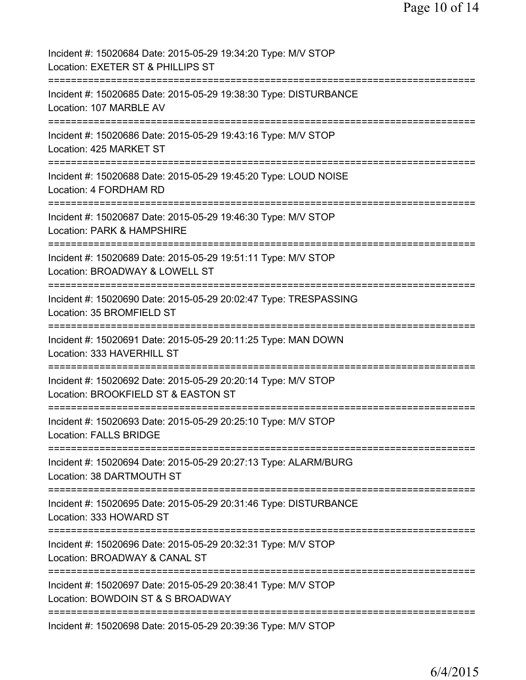| Incident #: 15020684 Date: 2015-05-29 19:34:20 Type: M/V STOP<br>Location: EXETER ST & PHILLIPS ST                                           |
|----------------------------------------------------------------------------------------------------------------------------------------------|
| Incident #: 15020685 Date: 2015-05-29 19:38:30 Type: DISTURBANCE<br>Location: 107 MARBLE AV                                                  |
| Incident #: 15020686 Date: 2015-05-29 19:43:16 Type: M/V STOP<br>Location: 425 MARKET ST                                                     |
| Incident #: 15020688 Date: 2015-05-29 19:45:20 Type: LOUD NOISE<br>Location: 4 FORDHAM RD                                                    |
| Incident #: 15020687 Date: 2015-05-29 19:46:30 Type: M/V STOP<br>Location: PARK & HAMPSHIRE                                                  |
| Incident #: 15020689 Date: 2015-05-29 19:51:11 Type: M/V STOP<br>Location: BROADWAY & LOWELL ST<br>=========================<br>============ |
| Incident #: 15020690 Date: 2015-05-29 20:02:47 Type: TRESPASSING<br>Location: 35 BROMFIELD ST                                                |
| ==============<br>Incident #: 15020691 Date: 2015-05-29 20:11:25 Type: MAN DOWN<br>Location: 333 HAVERHILL ST                                |
| ===================<br>Incident #: 15020692 Date: 2015-05-29 20:20:14 Type: M/V STOP<br>Location: BROOKFIELD ST & EASTON ST                  |
| Incident #: 15020693 Date: 2015-05-29 20:25:10 Type: M/V STOP<br><b>Location: FALLS BRIDGE</b>                                               |
| Incident #: 15020694 Date: 2015-05-29 20:27:13 Type: ALARM/BURG<br>Location: 38 DARTMOUTH ST                                                 |
| Incident #: 15020695 Date: 2015-05-29 20:31:46 Type: DISTURBANCE<br>Location: 333 HOWARD ST<br>==============                                |
| Incident #: 15020696 Date: 2015-05-29 20:32:31 Type: M/V STOP<br>Location: BROADWAY & CANAL ST                                               |
| Incident #: 15020697 Date: 2015-05-29 20:38:41 Type: M/V STOP<br>Location: BOWDOIN ST & S BROADWAY                                           |
| Incident #: 15020698 Date: 2015-05-29 20:39:36 Type: M/V STOP                                                                                |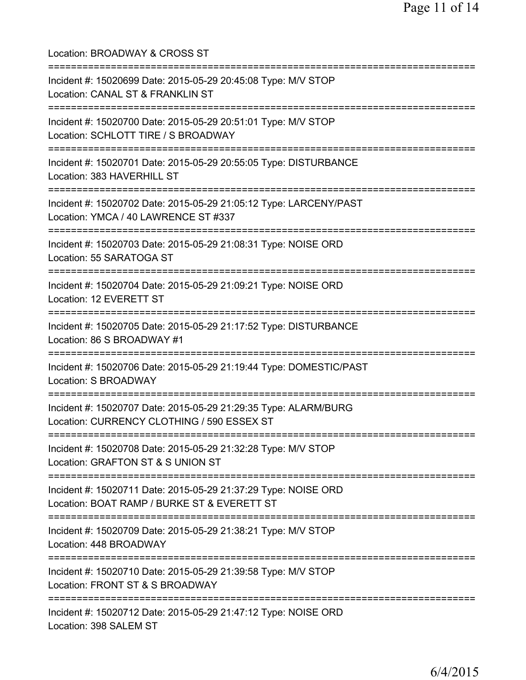| Location: BROADWAY & CROSS ST                                                                                                              |
|--------------------------------------------------------------------------------------------------------------------------------------------|
| Incident #: 15020699 Date: 2015-05-29 20:45:08 Type: M/V STOP<br>Location: CANAL ST & FRANKLIN ST<br>;===================================  |
| Incident #: 15020700 Date: 2015-05-29 20:51:01 Type: M/V STOP<br>Location: SCHLOTT TIRE / S BROADWAY<br>:================================= |
| Incident #: 15020701 Date: 2015-05-29 20:55:05 Type: DISTURBANCE<br>Location: 383 HAVERHILL ST<br>==============================           |
| Incident #: 15020702 Date: 2015-05-29 21:05:12 Type: LARCENY/PAST<br>Location: YMCA / 40 LAWRENCE ST #337                                  |
| Incident #: 15020703 Date: 2015-05-29 21:08:31 Type: NOISE ORD<br>Location: 55 SARATOGA ST                                                 |
| ===============================<br>Incident #: 15020704 Date: 2015-05-29 21:09:21 Type: NOISE ORD<br>Location: 12 EVERETT ST               |
| Incident #: 15020705 Date: 2015-05-29 21:17:52 Type: DISTURBANCE<br>Location: 86 S BROADWAY #1                                             |
| Incident #: 15020706 Date: 2015-05-29 21:19:44 Type: DOMESTIC/PAST<br>Location: S BROADWAY                                                 |
| Incident #: 15020707 Date: 2015-05-29 21:29:35 Type: ALARM/BURG<br>Location: CURRENCY CLOTHING / 590 ESSEX ST                              |
| Incident #: 15020708 Date: 2015-05-29 21:32:28 Type: M/V STOP<br>Location: GRAFTON ST & S UNION ST                                         |
| Incident #: 15020711 Date: 2015-05-29 21:37:29 Type: NOISE ORD<br>Location: BOAT RAMP / BURKE ST & EVERETT ST                              |
| Incident #: 15020709 Date: 2015-05-29 21:38:21 Type: M/V STOP<br>Location: 448 BROADWAY                                                    |
| Incident #: 15020710 Date: 2015-05-29 21:39:58 Type: M/V STOP<br>Location: FRONT ST & S BROADWAY                                           |
| Incident #: 15020712 Date: 2015-05-29 21:47:12 Type: NOISE ORD<br>Location: 398 SALEM ST                                                   |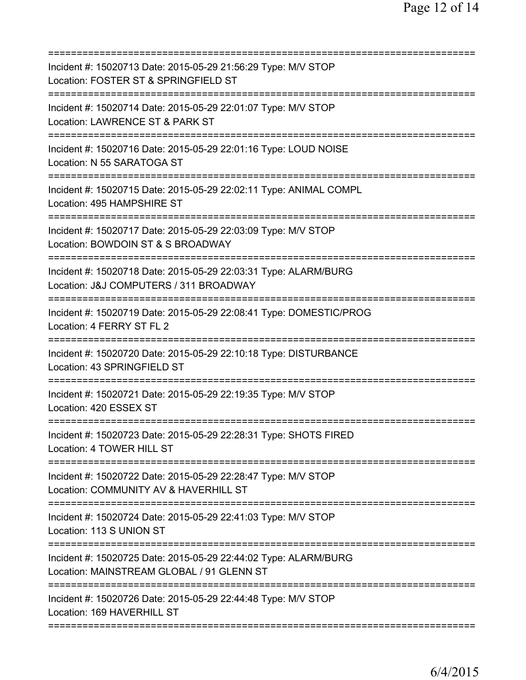| Incident #: 15020713 Date: 2015-05-29 21:56:29 Type: M/V STOP<br>Location: FOSTER ST & SPRINGFIELD ST<br>==============================                            |
|--------------------------------------------------------------------------------------------------------------------------------------------------------------------|
| Incident #: 15020714 Date: 2015-05-29 22:01:07 Type: M/V STOP<br>Location: LAWRENCE ST & PARK ST<br>===========================                                    |
| Incident #: 15020716 Date: 2015-05-29 22:01:16 Type: LOUD NOISE<br>Location: N 55 SARATOGA ST                                                                      |
| Incident #: 15020715 Date: 2015-05-29 22:02:11 Type: ANIMAL COMPL<br>Location: 495 HAMPSHIRE ST                                                                    |
| Incident #: 15020717 Date: 2015-05-29 22:03:09 Type: M/V STOP<br>Location: BOWDOIN ST & S BROADWAY                                                                 |
| ======================<br>Incident #: 15020718 Date: 2015-05-29 22:03:31 Type: ALARM/BURG<br>Location: J&J COMPUTERS / 311 BROADWAY<br>=========================== |
| Incident #: 15020719 Date: 2015-05-29 22:08:41 Type: DOMESTIC/PROG<br>Location: 4 FERRY ST FL 2                                                                    |
| Incident #: 15020720 Date: 2015-05-29 22:10:18 Type: DISTURBANCE<br>Location: 43 SPRINGFIELD ST                                                                    |
| Incident #: 15020721 Date: 2015-05-29 22:19:35 Type: M/V STOP<br>Location: 420 ESSEX ST                                                                            |
| Incident #: 15020723 Date: 2015-05-29 22:28:31 Type: SHOTS FIRED<br>Location: 4 TOWER HILL ST                                                                      |
| -------------------------------<br>Incident #: 15020722 Date: 2015-05-29 22:28:47 Type: M/V STOP<br>Location: COMMUNITY AV & HAVERHILL ST                          |
| Incident #: 15020724 Date: 2015-05-29 22:41:03 Type: M/V STOP<br>Location: 113 S UNION ST                                                                          |
| Incident #: 15020725 Date: 2015-05-29 22:44:02 Type: ALARM/BURG<br>Location: MAINSTREAM GLOBAL / 91 GLENN ST                                                       |
| Incident #: 15020726 Date: 2015-05-29 22:44:48 Type: M/V STOP<br>Location: 169 HAVERHILL ST                                                                        |
|                                                                                                                                                                    |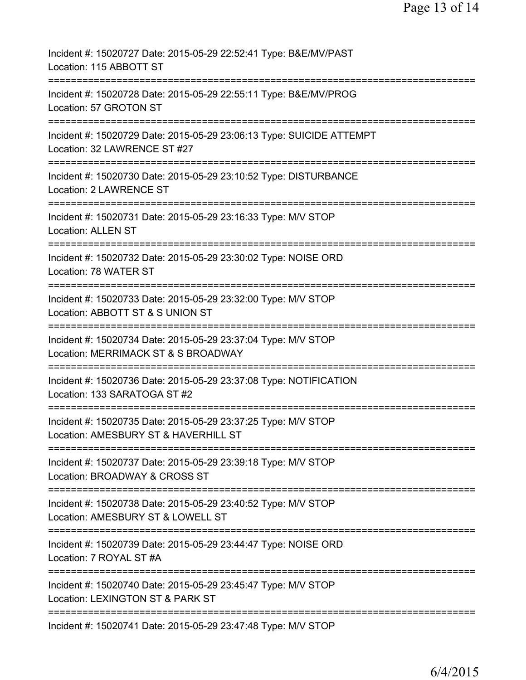| Incident #: 15020727 Date: 2015-05-29 22:52:41 Type: B&E/MV/PAST<br>Location: 115 ABBOTT ST                              |
|--------------------------------------------------------------------------------------------------------------------------|
| Incident #: 15020728 Date: 2015-05-29 22:55:11 Type: B&E/MV/PROG<br>Location: 57 GROTON ST                               |
| Incident #: 15020729 Date: 2015-05-29 23:06:13 Type: SUICIDE ATTEMPT<br>Location: 32 LAWRENCE ST #27                     |
| Incident #: 15020730 Date: 2015-05-29 23:10:52 Type: DISTURBANCE<br>Location: 2 LAWRENCE ST                              |
| Incident #: 15020731 Date: 2015-05-29 23:16:33 Type: M/V STOP<br><b>Location: ALLEN ST</b>                               |
| Incident #: 15020732 Date: 2015-05-29 23:30:02 Type: NOISE ORD<br>Location: 78 WATER ST                                  |
| Incident #: 15020733 Date: 2015-05-29 23:32:00 Type: M/V STOP<br>Location: ABBOTT ST & S UNION ST                        |
| Incident #: 15020734 Date: 2015-05-29 23:37:04 Type: M/V STOP<br>Location: MERRIMACK ST & S BROADWAY                     |
| Incident #: 15020736 Date: 2015-05-29 23:37:08 Type: NOTIFICATION<br>Location: 133 SARATOGA ST #2                        |
| Incident #: 15020735 Date: 2015-05-29 23:37:25 Type: M/V STOP<br>Location: AMESBURY ST & HAVERHILL ST                    |
| Incident #: 15020737 Date: 2015-05-29 23:39:18 Type: M/V STOP<br>Location: BROADWAY & CROSS ST                           |
| Incident #: 15020738 Date: 2015-05-29 23:40:52 Type: M/V STOP<br>Location: AMESBURY ST & LOWELL ST                       |
| ===========================<br>Incident #: 15020739 Date: 2015-05-29 23:44:47 Type: NOISE ORD<br>Location: 7 ROYAL ST #A |
| Incident #: 15020740 Date: 2015-05-29 23:45:47 Type: M/V STOP<br>Location: LEXINGTON ST & PARK ST                        |
| Incident #: 15020741 Date: 2015-05-29 23:47:48 Type: M/V STOP                                                            |